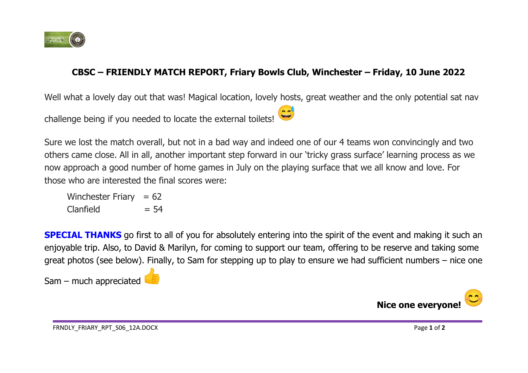

## **CBSC – FRIENDLY MATCH REPORT, Friary Bowls Club, Winchester – Friday, 10 June 2022**

 $\sim$   $\sim$ 

Well what a lovely day out that was! Magical location, lovely hosts, great weather and the only potential sat nav

challenge being if you needed to locate the external toilets!

Sure we lost the match overall, but not in a bad way and indeed one of our 4 teams won convincingly and two others came close. All in all, another important step forward in our 'tricky grass surface' learning process as we now approach a good number of home games in July on the playing surface that we all know and love. For those who are interested the final scores were:

Winchester Friary  $= 62$  $Clanfield = 54$ 

**SPECIAL THANKS** go first to all of you for absolutely entering into the spirit of the event and making it such an enjoyable trip. Also, to David & Marilyn, for coming to support our team, offering to be reserve and taking some great photos (see below). Finally, to Sam for stepping up to play to ensure we had sufficient numbers – nice one

Sam – much appreciated